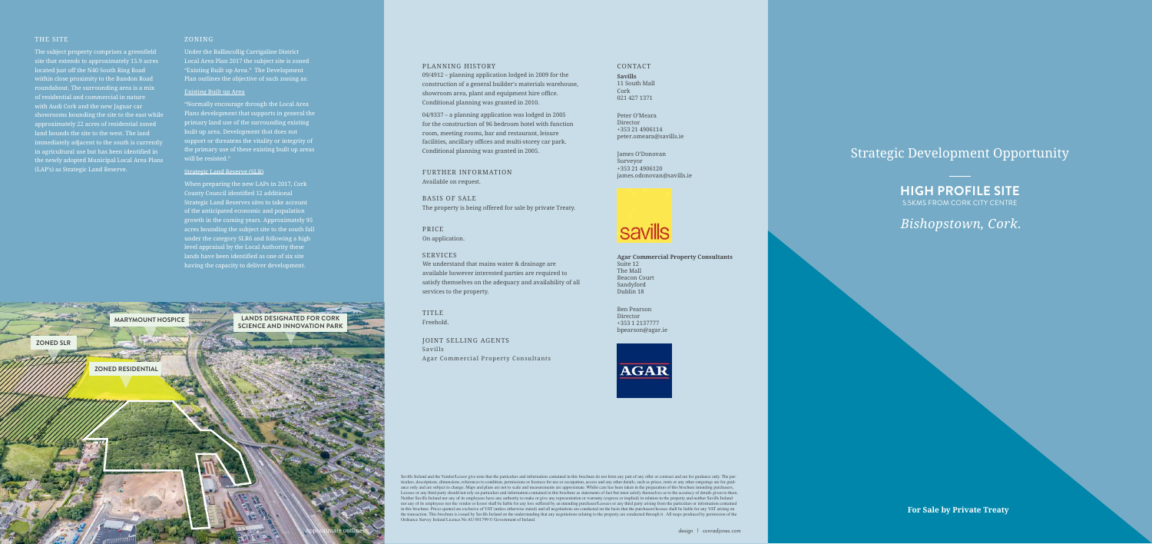# Strategic Development Opportunity

# THE SITE

The subject property comprises a greenfield site that extends to approximately 15.9 acres located just off the N40 South Ring Road within close proximity to the Bandon Road roundabout. The surrounding area is a mix of residential and commercial in nature with Audi Cork and the new Jaguar car showrooms bounding the site to the east while approximately 22 acres of residential zoned land bounds the site to the west. The land immediately adjacent to the south is currently in agricultural use but has been identified in the newly adopted Municipal Local Area Plans (LAP's) as Strategic Land Reserve.

"Normally encourage through the Local Area Plans development that supports in general the primary land use of the surrounding existing built up area. Development that does not  $\overline{\phantom{\alpha}}$  support or threatens the vitality or integrity of  $\overline{\phantom{\alpha}}$ the primary use of these existing built up areas will be resisted."

# ZONING

Under the Ballincollig Carrigaline District Local Area Plan 2017 the subject site is zoned "Existing Built up Area." The Development Plan outlines the objective of such zoning as:

### Existing Built up Area

#### Strategic Land Reserve (SLR)

When preparing the new LAPs in 2017, Cork County Council identified 12 additional Strategic Land Reserves sites to take account of the anticipated economic and population growth in the coming years. Approximately 95 acres bounding the subject site to the south fall under the category SLR6 and following a high level appraisal by the Local Authority these lands have been identified as one of six site having the capacity to deliver development.

**For Sale by Private Treaty**

#### PLANNING HISTORY

09/4912 – planning application lodged in 2009 for the construction of a general builder's materials warehouse, showroom area, plant and equipment hire office. Conditional planning was granted in 2010.

04/9337 – a planning application was lodged in 2005 for the construction of 96 bedroom hotel with function room, meeting rooms, bar and restaurant, leisure facilities, ancillary offices and multi-storey car park. Conditional planning was granted in 2005.

### FURTHER INFORMATION Available on request.

BASIS OF SALE The property is being offered for sale by private Treaty.

Savills Ireland and the Vendor/Lessor give note that the particulars and information contained in this brochure do not form any part of any offer or contract and are for guidance only. The particulars, descriptions, dimensions, references to condition, permissions or licences for use or occupation, access and any other details, such as prices, rents or any other outgoings are for guidance only and are subject to change. Maps and plans are not to scale and measurements are approximate. Whilst care has been taken in the preparation of this brochure intending purchasers, Lessees or any third party should not rely on particulars and information contained in this brochure as statements of fact but must satisfy themselves as to the accuracy of details given to them. Neither Savills Ireland nor any of its employees have any authority to make or give any representation or warranty (express or implied) in relation to the property and neither Savills Ireland nor any of its employees nor the vendor or lessor shall be liable for any loss suffered by an intending purchaser/Lessees or any third party arising from the particulars or information contained in this brochure. Prices quoted are exclusive of VAT (unless otherwise stated) and all negotiations are conducted on the basis that the purchasers/lessees shall be liable for any VAT arising on the transaction. This brochure is issued by Savills Ireland on the understanding that any negotiations relating to the property are conducted through it. All maps produced by permission of the Ordnance Survey Ireland Licence No AU 001799 © Government of Ireland.

PRICE On application.

### SERVICES

We understand that mains water & drainage are available however interested parties are required to satisfy themselves on the adequacy and availability of all services to the property.

TITLE Freehold.

JOINT SELLING AGENTS Savills Agar Commercial Property Consultants

### CONTACT

**Savills** 11 South Mall Cork 021 427 1371

Peter O'Meara Director +353 21 4906114 peter.omeara@savills.ie

James O'Donovan Surveyor +353 21 4906120 james.odonovan@savills.ie



**Agar Commercial Property Consultants** Suite 12 The Mall Beacon Court Sandyford Dublin 18

Ben Pearson Director +353 1 2137777 bpearson@agar.ie





# **HIGH PROFILE SITE**  5.5KMS FROM CORK CITY CENTRE

# *Bishopstown, Cork.*